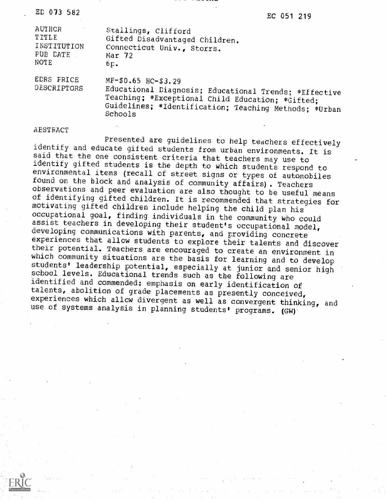| ED 073 |  | 582 |
|--------|--|-----|
|        |  |     |

 $\mathbb{E}$ D 073 582 EC 051 219

| AUTHCR                    | Stallings, Clifford                                                                                                                                                                                  |
|---------------------------|------------------------------------------------------------------------------------------------------------------------------------------------------------------------------------------------------|
| TITLE                     | Gifted Disadvantaged Children.                                                                                                                                                                       |
| INSTITUTION               | Connecticut Univ., Storrs.                                                                                                                                                                           |
| PUB DATE                  | Mar <sub>72</sub>                                                                                                                                                                                    |
| NOTE                      | 6p.                                                                                                                                                                                                  |
| EDRS FRICE<br>DESCRIPTORS | MF-\$0.65 HC-\$3.29<br>Educational Diagnosis; Educational Trends; *Effective<br>Teaching; *Exceptional Child Education; *Gifted;<br>Guidelines; *Identification; Teaching Methods; *Urban<br>Schools |

## AEsTRAcT

Presented are guidelines to help teachers effectively<br>identify and educate gifted students from urban environments. It is said that the one consistent criteria that teachers may use to<br>identify gifted students is the depth to which students respond to environmental items (recall of street signs or types of automobiles<br>found on the block and analysis of community affairs). Teachers<br>observations and peer evaluation are also thought to be useful means<br>of identifying gifted assist teachers in developing their student's occupational model,<br>developing communications with parents, and providing concrete<br>experiences that allow students to explore their talents and discover their potential. Teachers are encouraged to create an environment in<br>which community situations are the basis for learning and to develop<br>students' leadership potential, especially at junior and senior high school levels. Educational trends such as the following are identified and commended: emphasis on early identification of talents, abolition of grade placements as presently conceived, experiences which allow divergent as well as convergent thinking, and use of systems analysis in planning students' programs. (GW).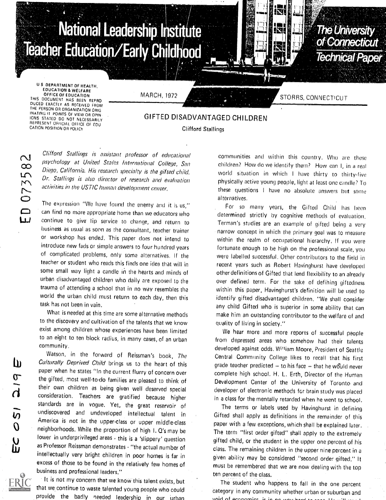

M i….

## GIFTED DISADVANTAGED CHILDREN Clifford Stallings

Clifford Stallings is assistant professor of educational psychology at United States International College, San Diego, California. His research specialty is the gifted child. Dr. Stallings is also director of research and evaluation activities in the USTIC human development center.

The expression "We have found the enemy and it is us," can find no more appropriate home than we educators who continue to give lip service to change, and return to business as usual as soon as the consultant, teacher trainer or workshop has ended. This paper does not intend to introduce new fads or simple answers to four hundred years Of complicated problems, Only some alternatives. If the teacher or student who reads this finds one idea that will in some small way light a candle in the hearts and minds of urban disadvantaged children who daily are exposed to the trauma of attending a school that in no Way resembles the world the urban child must return to each day, then this task has not been in vain.

What is needed at this time are some alternative methods to the discovery and cultivation of the talents that we know exist among children whose experiences have been limited to an eight to ten block radius, in many cases, of an urban community.

Watson, in the forward of Reissman's book, The Culturally Deprived Child brings us to the heart of this paper when he states "In the current flurry of concern over the gifted, most well-to-do families are pleased to think of their own children as being given well deserved special consideration. Teachers are gratified because higher standards are in vogue, Yet, the great reservoir of undiscovered and undeveloped intellectual talent in America is not in the upper-class or upper middle-class neighborhoods. While the proportion of high I, Q's may be lower in underprivileged areas - this is a 'slippery' question as Professor Reissman demonstrates - "the actual number of intellectually very bright children in poor homes is far in excess of those to be found in the relatively few homes of business and professional leaders."

It is not my concern that we know this talent exists, but that we continue to waste talented young people who could provide the badly needed leadership in our urban

communities and within this country, Who are these children? How do we identify them? How can I, in a real world situation in which I have thirty to thirty-five physically active young people, light at least one candle? To these questions <sup>I</sup> have no absolute answers but some alternatives.

For so many years, the Gifted Child has been determined strictly by cognitive methods 01 evaluation. Terman's studies are an example of gifted being a very narrow concept in which the primary goal was to measure within the realm of occupational hierarchy, If you were fortunate enough to be high on the professional scale, you were labelled successful. Other contributors to the field in recent years such as Robert Havinghurst have developed other definitions of Gifted that lend flexibility to an already over defined term. For the sake of defining giftedness within this paper, Havinghurst's definition will be used to identify gifted disadvantaged children. ''We shall consider any child Gifted who is superior in some ability that can make him an outstanding contributor to the welfare of and quality of living in society."

We hear more and more reports of successful people from depressed areas who somehow had their talents developed against odds. William Moore, President of Seattle Central Community College likes to recall that his first grade teacher predicted = to his face = that he would never complete high school. H. L. Erth, Director of the Human Development Center of the University of Toronto and developer of electronic methods for brain study was placed in a class for the mentally retarded when he went to school.

The terms or labels used by Havinghurst in defining Gifted shall apply as definitions in the remainder of this paper with a few exceptions, which shall be explained later. The term "first order gifted" shall apply to the extremely gifted child, or the student in the upper one percent of his class. The remaining children in the upper nine percent in a given ability may be considered "second order gifted," It must be remembered that we are now dealing with the top ten percent of the cla s.

The student who happens to fall in the one percent category in any community whether urban or suburban and  $v$ of Proportice is in no uny hard  $\epsilon$ 

Δ

 $\frac{1}{2}$ 

 $\overline{6}$  $\overline{0}$ 

<u>ប្ដូ</u>

ERIC

REPRESENT OFFICIAL OFFICE OF EDU CATION POSITION OR POLICY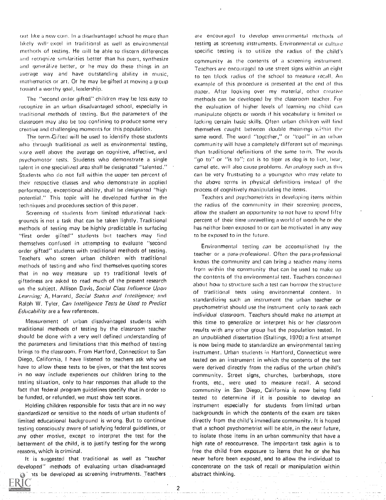out like a new coin. In a disadvantaged school he more than likely will excel in traditional as well as environmental methods of testing. He will be able to discern differences and recognize similarities better than his peers, synthesize and generalize better, or he may do these things in an average way and have outstanding ability in music, mathematics or art. Or he may be gifted at moving a group toward a worthy goal, leadership.

The "second order gifted" children may be less easy to recognize in an urban disadvantaged school, especially in traditional methods of testing. But the parameters of the classroom may also be too confining to produce some very creative and challenging moments for this population.

The term-Gifted will be used to identify those students who through traditional as well as environmental testing, e;ore well above the average on cognitive, affective, and Psychomotor tests. Students who demonstrate a single talent in one specialized area shall be designated "talented." Students who do not fall within the uoper ten percent of their respective classes and who demonstrate in applied performance, exceptional ability, shall be designated "high potential," This topic will he developed further in the techniques and procedures section of this paper,

Screening of students from limited educational backgrounds is not a task that can be taken lightly. Traditional methods of testing may be highly predictable in surfacing "first order gifted" students but teachers may find themselves confused in attempting to evaluate "second order gifted" students with traditional methods of testing. Teachers who screen urban children with traditional methods of testing and who find themselves quoting scores that in no way measure up to traditional levels of giftedness are asked to read much of the present research on the subject. Allison Davis, Social Class Influence Upon Learning; A. Harrard, Social Status and Intelligence; and Ralph W. Tyler, Can Intelligence Tests be Used to Predict Educability are a few references.

Measurement of urban disadvantaged students with traditional methods of testing by the classroom teacher should he done with a very well defined understanding of the parameters and limitations that this method of testing brings to the classroom, From Hartford, Connecticut to San Diego, California, <sup>I</sup> have listened to teachers ask why we have to allow these tests to be given, or that the test scores in no way include experiences our children bring to the testing situation, only to hear responses that allude to the fact that federal program guidelines specify that in order to be funded, or refunded, we must show test scores.

Holding children responsible for tests that are in no way standardi2ed or sensitive to the needs of urban students of limited educational background is wrong. But to continue testing consciously aware of satisfying federal guidelines, or any other motive, except to interpret the test for the betterment of the child, is to justify testing for the wrong reasons, which is criminal.

It is suggested that traditional as well as "teacher developed" methods of evaluating urban disadvantaged that is be developed as screening instruments. Teachers

RIC

are encouraged to develop environmental methods of testing as screening instruments. Environmental or cultuie specific testing is to utilize the radius of the child's community as the contents of a screening instrument. Teachers are encouraged to use street signs within an eight to ten block radius of the school to measure recall. An example of this procedure is presented at the end of this paper. After looking over my material, other creative methods can be developed by the classroom teacher. For the evaluation of higher levels of learning no child can manipulate objects or words if his vocabulary is limited or lacking certain basic skills, Often urban children will find themselves caught between double meanings within the same word. The word "together," or "cool" in an urban community will have a completely different set of meanings than traditional definitions of the same term, The words "go to" or "is to"; cat is to tiger as dog is to lion, hear, camel etc. will also cause problems. An analogy such as this can be very frustrating to a youngster who may relate to the above terms in physical definitions instead of the process of cognitively manipulating the items.

Teachers and psychometrists in developing items within the radius of the community in their screening process, allow the student en opportunity to not have to spend fifty percent of their time unravelling a world of words he or she has neither been exposed to or can he motivated in any way to be exposed to in the future.

Environmental testing can be accomplished by the teacher or a para-professional, Often the para-professional knows the community and can bring a teacher many items from within the community that can he used to make up the contents of the environmental test. Teachers concerned about how to structure such a test can borrow the structure of traditional tests using environmental content. In standardizing such an instrument the urban teacher or psychometrist should use the instrument only to rank each individual classroom. Teachers should make no attempt at this time to generalize or interpret his or her classroom results with any other group but the population tested. In an unpublished dissertation (Stallings, 1070) a first attempt is now being made to standardize an environmental testing instrument, Urban students in Hartford, Connecticut were tested on an instrument in which the contents of the test were derived directly from the radius of the urban child's community. Street signs, churches, barbershops, store fronts, etc., were used to measure recall, A second community in San Diego, California is now being field tested to determine if it is possible to develop an instrument especially for students from limited urban backgrounds in which the contents of the exam are taken directly from the child's immediate community. It is hoped that a school psychometrist will he able, in the near future, to isolate those items in an urban community that have a high rate of reoccurrence. The important task again is to free the child from exposure to items that he or she has never before been exposed, and to allow the individual to concentrate on the task of recall or manipulation within abstract thinking,

2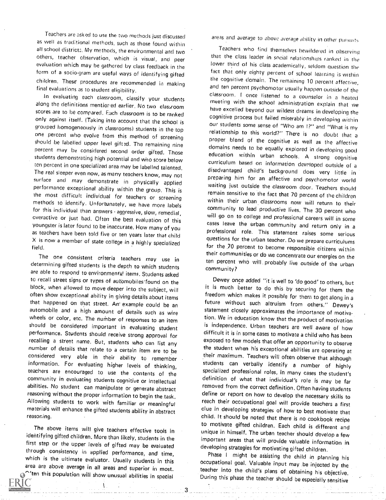Teachers are asked to use the two methods just discussed as well as traditional methods, such as those found within all school district: My methods, the environmental and two others, teacher observation, which is visual, and peer evaluation which may he gathered by class feedback in the form of a socio-gram are useful ways of identifying gifted children. These' procedures are recommended in making final evaluations as to student eligibility.

along the definitions mentior'ed earlier. No two classroom scores are to he compared, Each classroom is to he ranked only against itself, (Taking into account that the school is grouped homogeneously in classrooms) students in the top one percent who evolve from this method of screening<br>should be labelled upper level gifted. The remaining nine percent may be considered second order gifted. Those students demonstrating high potential and who score below ten percent in one specialized area may be labelled talented. The real sleeper even now, as many teachers know, may not surface and may demonstrate in physically applied performance exceptional ability within the group. This is methods to identify. Unfortunately, we have more labels within their urban classrooms now will return to their<br>for this individual than answers anomesive stow complicity community to lead productive lives. The 30 percent w for this individual than answers aggressive, slow, remedial, overactive or just had, Often the best evaluation of this youngster is later found to be inaccurate. How many of you  $X$  is now a member of state college in a highly specialized field.

The one consistent criteria teachers may use in determining gifted students is the depth to which students are able to respond to environmental items. Students asked to recall street signs or types of automobiles-found on the block, when allowed to move deeper into the subject, will often show exceptional ability in giving details about items<br>that happened on that street. An example could be an automobile and a high amount of details such as wire wheels or color, etc. The number of responses to an item should be considered important in evaluating student performance. Students should receive strong approval for number of details that relate to a certain item are to be considered very able in their ability to remember information. For evaluating higher levels of thinking, teachers are encouraged to use the contents of the community in evaluating students cognitive or intellectual abilities, No student can manipulate or generate abstract reasoning without the proper information to begin the task. Allowing students to work with familiar or meaningful materials will enhance the gifted students ability in abstract reasoning.

The above items will give teachers effective tools in identifying gifted children. More than likely, students in the first step or the upper levels of gifted may be evaluated<br>through consistency in applied performance, and time, which is the ultimate evaluator. Usually students in this area are above average in all areas and superior in most.  $\Gamma$  ten this population will show unusual abilities in special

A

areas and average to above average ability in other pursuits

In evaluations as to student engineery.<br>In evaluating each classroom, classify your students of the monting with the sebect exterior is the student of Teachers who find themselves bewildered in observing that the class leader in social relationships ranked in the lower third of his class academically, seldom question the fact that only eighty percent of school learning is within the cognitive domain. The remaining 10 percent affective, and ten percent psychomotor usually happen outside of the meeting with the school administration explain that we have excelled beyond our wildest dreams in developing the cognitive process but failed miserably in developing within our students some sense of "Who am I?" and "What is my relationship to this world?" There is no doubt that a proper blend of the cognitive as well as the affective domains needs to be equally explored in developing good education within urban schools. A strong cognitive curriculum based on information developed outside of a disadvantaged child's background does very little in preparing him for an affective and psychomotor world waiting just outside the classroom door. Teachers should remain sensitive to the fact that 70 percent of the children within their urban classrooms now will return to their will go on to college and professional careers will in some cases leave the urban community and return only in a professional role. This statement raises some serious questions for the urban teacher. Do we prepare curriculums for the .70 percent to become responsible citizens within their communities or do we concentrate our energies on the ten percent who will probably live outside of the urban community?

> Dewey once added "it is well to 'do good' to others, but it is much better to do this by securing for them the freedom which makes it possible for them to get along in <sup>a</sup> future without such altruism from others," Dewey's statement closely approximates the importance of motivation. We in education know that the product of motivation is independence. Urban teachers are well aware of how difficult it is in some cases to motivate a child who has been exposed to few models that offer an opportunity to observe the student when his exceptional abilities are operating at their maximum. Teachers will often observe that although students can verbally identify <sup>a</sup> number of highly definition of what that individual's role is may be far removed from the correct definition. Often having students define or report on how to develop the necessary skills to reach their occupational goal will provide teachers a first clue in developing strategies of how to best motivate that child. It should be noted that there is no cookbook recipe to motivate gifted children. Each child is different and unique in himself. The urban teacher should develop a few important areas that will provide valuable information in

developing strategies for motivating gifted children.<br>Phase 1 might be assisting the child in planning his occupational goal. Valuable input may be injected by the teacher into the child's plans of obtaining his objective. During this phase the teacher should be especially sensitive

 $3 -$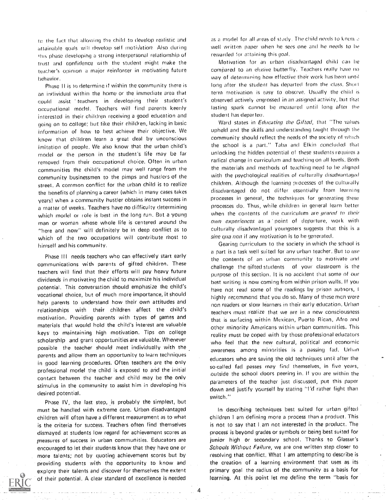re the fart that allowing the child to develop realistic and attainable goals will develop self motivation. Also during this phase developing a strong interpersonal relationship of trust and confidence with the student might make the teacher's opinion a major reinforcer in motivating future behavior.

Phase II is to determine if within the community there is an individual within the home or the immediate area that could assist teachers in developing their student's occupational model. Teachers will find parents keenly interested in their children receiving a good education and going on to college: but like their children, lacking in basic information of how to best achieve their objective. We know that children learn a great deal by unconscious imitation of people. We also know that the urban child's model or the person in the student's life may be far removed from their occupational choice, Often in urban communities the child's model may well range from the community businessmen to the pimps and hustlers of the street, A common conflict for the urban Child is to realize the benefits of planning a career (which in many cases takes years) when a community hustler obtains instant success in a matter of weeks. Teachers have no difficulty determining which model or role is best in the long run. But a young man or woman whose whole life is centered around the "here and now" will definitely be in deep conflict as to which of the two occupations will contribute most to himself and his community,

Phase III needs teachers who can effectively start early communications with parents of gifted children. These teachers will find that their efforts will pay heavy future dividends in motivating the child to maximize his individual potential. This conversation should emphasize the child's vocational choice, but of much more importance, it should help parents to understand how their own attitudes and relationships with their children affect the child's motivation. Providing parents with types of games and materials that would hold the child's interest are valuable keys to maintaining high motivation. Tips on college scholarship and grant opportunities are valuable. Whenever possible the teacher should meet individually with the parents and allow them an opportunity to learn techniques in good learning procedures. Often teachers are the only professional model the child is exposed to and the initial contact between the teacher and child may be the only stimulus in the community to assist him in developing his desired potential.

Phase IV, the last step, is probably the simplest, but must be handled with extreme care. Urban disadvantaged children will often have a different measurement as to what is the criteria for success. Teachers often find themselves dismayed at students low regard for achievement scores as measures of success in urban communities. Educators are encouraged to let their students know that they have one or more talents; not by quoting achievement scores but by providing students with the opportunity to know and explore their talents and discover for themselves the extent of their potential. A clear standard of excellence is needed

as a model for all areas of study. The child needs to know a welt written paper when he sees one and he needs to be rewarded for attaining this goal.

Motivation for an urban disadvantaged child can he compared to an elusive butterfly. Teachers really have no way of determining how effective their work has been until long after the student has departed from the class. Short term motivation is easy to observe. Usually the child is observed actively engrossed in an assigned activity, but that lasting spark cannot be measured until long after the student has departeu.

Ward states in Educating the Gifted, that "The values upheld and the skills and understanding taught through the community should reflect the needs of the society of which the school is a part." Taha and Elkin concluded that unlocking the hidden potential of these students requires a radical change in curriculum and teaching on all levels. Both the materials and methods of teaching need to he aligned with the psychological realities of culturally disadvantaged children. Although the learning processes of the culturally disadvantaged do not differ essentially from learning processes in general, the techniques for generating these processes do. Thus, while children in general learn better when the contents of the curriculum are *geared to their* own experiences as a point of departure, work with culturally disadvantaged youngsters suggests that this is <sup>a</sup> sine qua non if any motivation is to be generated.

Gearing curriculum to the society in which the school is a part is a task well suited for any urban teacher. But to use the contents of an urban community to motivate and challenge the gifted students of your classroom is the purpose of this section. It is no accident that some of our best writing is now coming from within prison walls. If you have not read some of the readings by prison autnors, I highly recommend that you do so. Many of these mcn were non readers or slow learners in their early education. Urban teachers must realize that we are in a new consciousness that is surfacing within Mexican, Puerto Rican, Afro and other minority Americans within urban communities. This reality must be coped with by those professional educators who feel that the new cultural, political and economic awareness among minorities is a passing fad. Urban educators who are saving the old techniques until after the so-called fad passes may find themselves, in five years, outside the school doors peering in. If you are within the parameters of the teacher just discussed, put this paper down and justify yourself by stating "I'd rather fight than switch."

In describing techniques best suited for urban gifted children I am defining more a process than a product. This is not to say that I am not interested in the product. The process is beyond grades or symbols or being best suited for junior high or secondary school. Thanks to Glasser's Schools Without Failure, we are one written step closer to resolving that conflict. What I am attempting to describe is the creation of a learning environment that uses as its primary goal the radius of the community as a basis for learning. At this point let me define the term "basis for

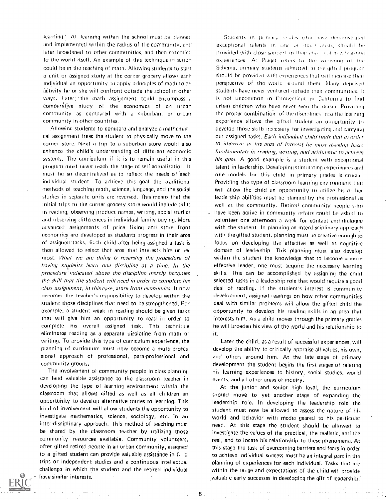learning." Al learning within the school must be planned and implemented within the radius of the community, and later broadaned to other communities, and then extended to the world itself. An example of this technique in action could he in the teaching of math. Allowing students to start a unit or assigned study at the corner grocery allows each individual an opportunity to apply principles of math to an activity he or she will confront outside the school in other ways. Later, the math assignment could encompass a comparative study of the economics of an urban community as compared with <sup>a</sup> suburban, or urban community in other countries.

Allowing students to compare and analyze a mathematical assignment frees the student to physically move to the corner store. Next a trip to a suburban store would also enhance the child's understanding of different economic systems. The curriculum if it is to remain useful in this program must never reach the stage of self actualization. It must be so decentralized as to reflect the needs of each individual student, To achieve this goal the traditional methods of teaching math, science, language, and the social studies in separate units are reversed. This means that the initial trips to the corner grocery store would include skills in reading, observing product names, writing, social studies and observing differences in individual family buying. More advanced assignments of price fixing and store front economics are developed as students progress in their area of assigned' tasks. Each child after being assigned a task is then allowed to select that area that interests him or her most. What we are doing is reversing the procedure of having students learn one discipline at a time, In the procedure 'indicated above the discipline merely becomes the skill that the student will need in order to complete his class assignment, in this case, store front economics. It now becomes the teacher's responsibility to develop within the student those disciplines that need to be strengthened. For example, a student weak in reading should be given tasks that will give him an opportunity to read in order to complete his overall assigned task. This technique eliminates reading as a separate discipline from math or writing. To provide this type of curriculum experience, the planning of curriculum must now become a multi-professional approach of professional, para-professional and community groups,

The involvement of community people in class planning can lend valuable assistance to the classroom teacher in developing the type of learning environment within the classroom that allows gifted as well as all children an opportunity to develop alternative routes to learning. This kind of involvement will allow students the opportunity to investigate mathematics, science, sociology, etc, in an inter-disciplinary approach. This method of teaching must be shared by the classroom teacher by utilizing those community resources available. Community volunteers, often gifted retired people in an urban community, assigned to a gifted student can provide valuable assistance in f, !d trips or independent studies and a continuous intellectual challenge in which the student and the retired individual have similar interests.

Students in primary insides who have demonstrated exceptional talents in one or more areas, should be provided with close support in their chase of new teaching experiences. A:: Plaget refers to the widening of the Schema, primary students admitted to the gifted program should be provided with experiences that will increase their perspective of the world wound them Many dem ived students have never ventured outside their communities. It is not uncommon in Connecticut or California to find urban children who have never seen the ocean. Providing the proper combination of the disciplines into the learning experience allows the gifted student an opportunity to develop those skills necessary for investigating and carrying out assigned tasks, Each individual child finds that in order to improve in his area of interest he must develop basic fundamentals in reading, writing, and arithmetic to achieve his goal. A good example is a student with exceptional talent in leadership, Developing stimulating experiences and role models for this child in primary grades is crucial, Providing the type of classroom learning environment that will allow the child an opportunity to utilize his or her leadership abilities must he planned by the professional as well as the community. Retired community people who have been active in community affairs could be asked to volunteer one afternoon a week for contact and dialogue with the student, In planning an interdisciplinary approach with the gifted student, planning must he creative enough to focus on developing the affective as well as cognitive domain of leadership, This planning must also develop within the student the knowledge that to become a more effective leader, one must acquire the necessary learning skills. This can be accomplished by assigning the child selected tasks in a leadership role that would require a good deal of reading, If the student's interest is community development, assigned readings on how other communities deal with similar problems will allow the gifted child the opportunity to develop his reading skills in an area that interests him. As a child moves through the primary grades he will broaden his view of the world and his relationship to it,

Later the child, as a result of successful experiences, will develop the ability to critically appraise all values, his own, and others around him. At the late stage of primary development the student begins the first stages of relating his learning experiences to history, social studies, world events, and all other areas of inquiry.

At the junior and senior high level, the curriculum should move to yet another stage of expanding the leadership role. In developing the leadership role the student must now be allowed to assess the nature of his world and behavior with media geared to his particular need. At this stage the student should he allowed to investigate the values of the practical, the realistic, and the real, and to locate his relationship to these phenomena. At this stage the task of overcoming barriers and fears in order to achieve individual success most be an integral part in the planning of experiences for each individual. Tasks that are within the range and expectations of the child will provide valuable early successes in developing the gift of leadership.



5